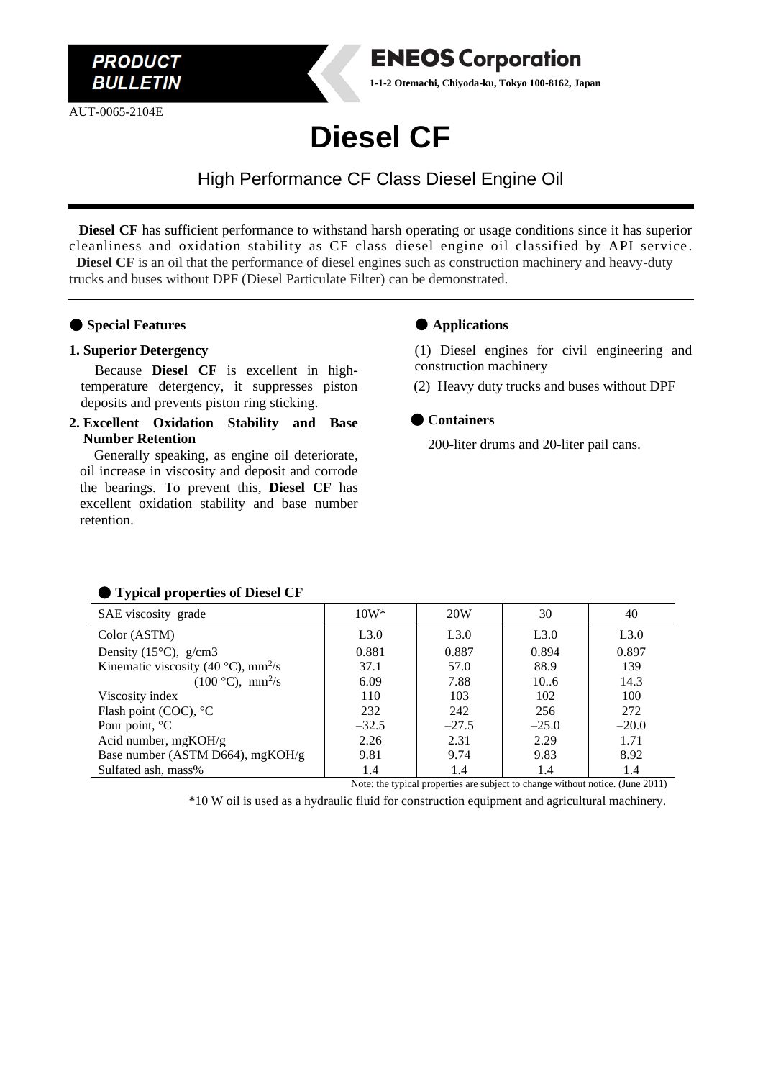

AUT-0065-2104E



**1-1-2 Otemachi, Chiyoda-ku, Tokyo 100-8162, Japan**

## **Diesel CF**

High Performance CF Class Diesel Engine Oil

 **Diesel CF** has sufficient performance to withstand harsh operating or usage conditions since it has superior cleanliness and oxidation stability as CF class diesel engine oil classified by API service . **Diesel CF** is an oil that the performance of diesel engines such as construction machinery and heavy-duty trucks and buses without DPF (Diesel Particulate Filter) can be demonstrated.

#### ● **Special Features**

#### **1. Superior Detergency**

Because **Diesel CF** is excellent in hightemperature detergency, it suppresses piston deposits and prevents piston ring sticking.

**2. Excellent Oxidation Stability and Base Number Retention**

Generally speaking, as engine oil deteriorate, oil increase in viscosity and deposit and corrode the bearings. To prevent this, **Diesel CF** has excellent oxidation stability and base number retention.

#### ● **Applications**

(1) Diesel engines for civil engineering and construction machinery

(2) Heavy duty trucks and buses without DPF

#### ● **Containers**

200-liter drums and 20-liter pail cans.

| .                                                         |         |         |         |         |
|-----------------------------------------------------------|---------|---------|---------|---------|
| SAE viscosity grade                                       | $10W^*$ | 20W     | 30      | 40      |
| Color (ASTM)                                              | L3.0    | L3.0    | L3.0    | L3.0    |
| Density (15 $\degree$ C), g/cm3                           | 0.881   | 0.887   | 0.894   | 0.897   |
| Kinematic viscosity (40 $^{\circ}$ C), mm <sup>2</sup> /s | 37.1    | 57.0    | 88.9    | 139     |
| $(100 °C)$ , mm <sup>2</sup> /s                           | 6.09    | 7.88    | 106     | 14.3    |
| Viscosity index                                           | 110     | 103     | 102     | 100     |
| Flash point (COC), °C                                     | 232     | 242     | 256     | 272     |
| Pour point, $^{\circ}C$                                   | $-32.5$ | $-27.5$ | $-25.0$ | $-20.0$ |
| Acid number, $mgKOH/g$                                    | 2.26    | 2.31    | 2.29    | 1.71    |
| Base number (ASTM D664), mgKOH/g                          | 9.81    | 9.74    | 9.83    | 8.92    |
| Sulfated ash, mass%                                       | 1.4     | 1.4     | 1.4     | 1.4     |
|                                                           |         |         |         |         |

#### ● **Typical properties of Diesel CF**

Note: the typical properties are subject to change without notice. (June 2011)

\*10 W oil is used as a hydraulic fluid for construction equipment and agricultural machinery.